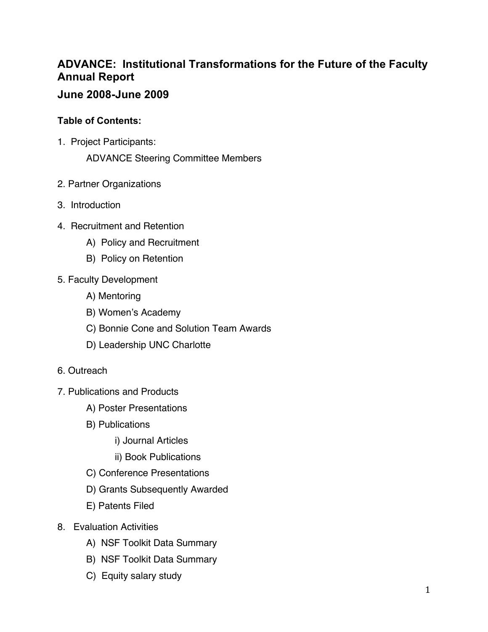# **ADVANCE: Institutional Transformations for the Future of the Faculty Annual Report**

## **June 2008-June 2009**

## **Table of Contents:**

1. Project Participants:

ADVANCE Steering Committee Members

- 2. Partner Organizations
- 3. Introduction
- 4. Recruitment and Retention
	- A) Policy and Recruitment
	- B) Policy on Retention
- 5. Faculty Development
	- A) Mentoring
	- B) Women's Academy
	- C) Bonnie Cone and Solution Team Awards
	- D) Leadership UNC Charlotte
- 6. Outreach
- 7. Publications and Products
	- A) Poster Presentations
	- B) Publications
		- i) Journal Articles
		- ii) Book Publications
	- C) Conference Presentations
	- D) Grants Subsequently Awarded
	- E) Patents Filed
- 8. Evaluation Activities
	- A) NSF Toolkit Data Summary
	- B) NSF Toolkit Data Summary
	- C) Equity salary study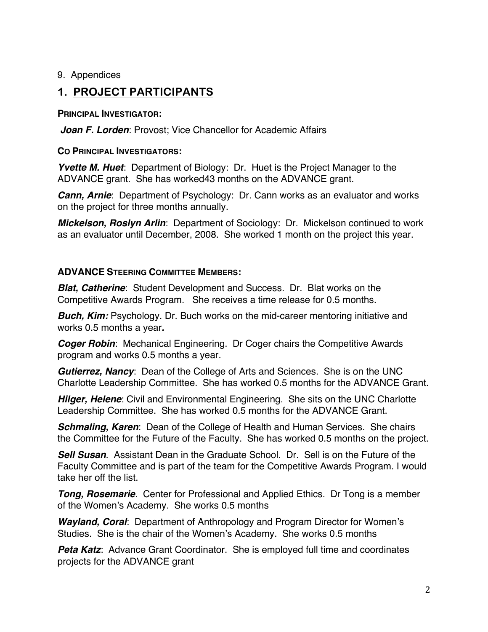9. Appendices

## **1. PROJECT PARTICIPANTS**

## **PRINCIPAL INVESTIGATOR:**

*Joan F. Lorden*: Provost; Vice Chancellor for Academic Affairs

## **CO PRINCIPAL INVESTIGATORS:**

*Yvette M. Huet*: Department of Biology: Dr. Huet is the Project Manager to the ADVANCE grant. She has worked43 months on the ADVANCE grant.

*Cann, Arnie*: Department of Psychology: Dr. Cann works as an evaluator and works on the project for three months annually.

*Mickelson, Roslyn Arlin*: Department of Sociology: Dr. Mickelson continued to work as an evaluator until December, 2008. She worked 1 month on the project this year.

## **ADVANCE STEERING COMMITTEE MEMBERS:**

*Blat, Catherine*: Student Development and Success. Dr. Blat works on the Competitive Awards Program. She receives a time release for 0.5 months.

**Buch, Kim:** Psychology. Dr. Buch works on the mid-career mentoring initiative and works 0.5 months a year*.*

*Coger Robin*: Mechanical Engineering. Dr Coger chairs the Competitive Awards program and works 0.5 months a year.

*Gutierrez, Nancy*: Dean of the College of Arts and Sciences. She is on the UNC Charlotte Leadership Committee. She has worked 0.5 months for the ADVANCE Grant.

*Hilger, Helene*: Civil and Environmental Engineering. She sits on the UNC Charlotte Leadership Committee. She has worked 0.5 months for the ADVANCE Grant.

*Schmaling, Karen*: Dean of the College of Health and Human Services. She chairs the Committee for the Future of the Faculty. She has worked 0.5 months on the project.

*Sell Susan*. Assistant Dean in the Graduate School. Dr. Sell is on the Future of the Faculty Committee and is part of the team for the Competitive Awards Program. I would take her off the list.

*Tong, Rosemarie*. Center for Professional and Applied Ethics. Dr Tong is a member of the Women's Academy. She works 0.5 months

*Wayland, Coral*: Department of Anthropology and Program Director for Women's Studies. She is the chair of the Women's Academy. She works 0.5 months

**Peta Katz:** Advance Grant Coordinator. She is employed full time and coordinates projects for the ADVANCE grant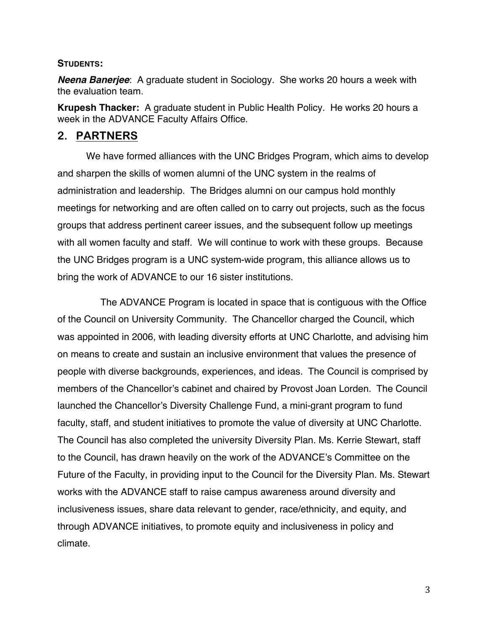#### **STUDENTS:**

*Neena Banerjee*: A graduate student in Sociology. She works 20 hours a week with the evaluation team.

**Krupesh Thacker:** A graduate student in Public Health Policy. He works 20 hours a week in the ADVANCE Faculty Affairs Office.

## **2. PARTNERS**

We have formed alliances with the UNC Bridges Program, which aims to develop and sharpen the skills of women alumni of the UNC system in the realms of administration and leadership. The Bridges alumni on our campus hold monthly meetings for networking and are often called on to carry out projects, such as the focus groups that address pertinent career issues, and the subsequent follow up meetings with all women faculty and staff. We will continue to work with these groups. Because the UNC Bridges program is a UNC system-wide program, this alliance allows us to bring the work of ADVANCE to our 16 sister institutions.

The ADVANCE Program is located in space that is contiguous with the Office of the Council on University Community. The Chancellor charged the Council, which was appointed in 2006, with leading diversity efforts at UNC Charlotte, and advising him on means to create and sustain an inclusive environment that values the presence of people with diverse backgrounds, experiences, and ideas. The Council is comprised by members of the Chancellor's cabinet and chaired by Provost Joan Lorden. The Council launched the Chancellor's Diversity Challenge Fund, a mini-grant program to fund faculty, staff, and student initiatives to promote the value of diversity at UNC Charlotte. The Council has also completed the university Diversity Plan. Ms. Kerrie Stewart, staff to the Council, has drawn heavily on the work of the ADVANCE's Committee on the Future of the Faculty, in providing input to the Council for the Diversity Plan. Ms. Stewart works with the ADVANCE staff to raise campus awareness around diversity and inclusiveness issues, share data relevant to gender, race/ethnicity, and equity, and through ADVANCE initiatives, to promote equity and inclusiveness in policy and climate.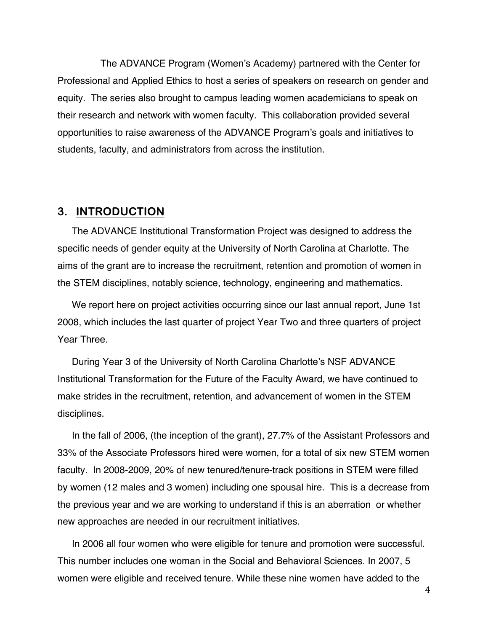The ADVANCE Program (Women's Academy) partnered with the Center for Professional and Applied Ethics to host a series of speakers on research on gender and equity. The series also brought to campus leading women academicians to speak on their research and network with women faculty. This collaboration provided several opportunities to raise awareness of the ADVANCE Program's goals and initiatives to students, faculty, and administrators from across the institution.

## **3. INTRODUCTION**

The ADVANCE Institutional Transformation Project was designed to address the specific needs of gender equity at the University of North Carolina at Charlotte. The aims of the grant are to increase the recruitment, retention and promotion of women in the STEM disciplines, notably science, technology, engineering and mathematics.

We report here on project activities occurring since our last annual report, June 1st 2008, which includes the last quarter of project Year Two and three quarters of project Year Three.

During Year 3 of the University of North Carolina Charlotte's NSF ADVANCE Institutional Transformation for the Future of the Faculty Award, we have continued to make strides in the recruitment, retention, and advancement of women in the STEM disciplines.

In the fall of 2006, (the inception of the grant), 27.7% of the Assistant Professors and 33% of the Associate Professors hired were women, for a total of six new STEM women faculty. In 2008-2009, 20% of new tenured/tenure-track positions in STEM were filled by women (12 males and 3 women) including one spousal hire. This is a decrease from the previous year and we are working to understand if this is an aberration or whether new approaches are needed in our recruitment initiatives.

In 2006 all four women who were eligible for tenure and promotion were successful. This number includes one woman in the Social and Behavioral Sciences. In 2007, 5 women were eligible and received tenure. While these nine women have added to the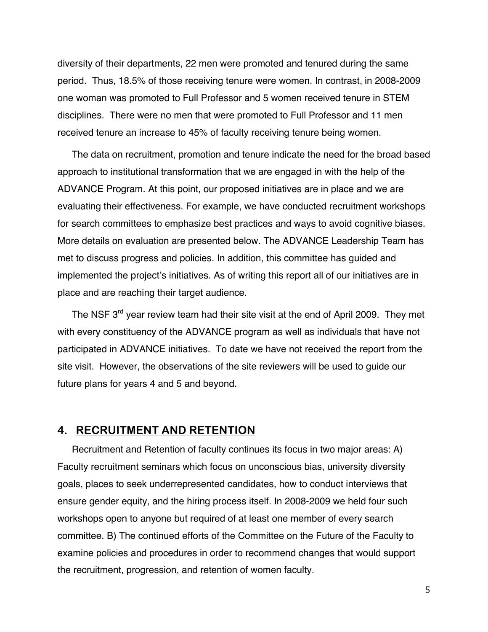diversity of their departments, 22 men were promoted and tenured during the same period. Thus, 18.5% of those receiving tenure were women. In contrast, in 2008-2009 one woman was promoted to Full Professor and 5 women received tenure in STEM disciplines. There were no men that were promoted to Full Professor and 11 men received tenure an increase to 45% of faculty receiving tenure being women.

The data on recruitment, promotion and tenure indicate the need for the broad based approach to institutional transformation that we are engaged in with the help of the ADVANCE Program. At this point, our proposed initiatives are in place and we are evaluating their effectiveness. For example, we have conducted recruitment workshops for search committees to emphasize best practices and ways to avoid cognitive biases. More details on evaluation are presented below. The ADVANCE Leadership Team has met to discuss progress and policies. In addition, this committee has guided and implemented the project's initiatives. As of writing this report all of our initiatives are in place and are reaching their target audience.

The NSF 3<sup>rd</sup> year review team had their site visit at the end of April 2009. They met with every constituency of the ADVANCE program as well as individuals that have not participated in ADVANCE initiatives. To date we have not received the report from the site visit. However, the observations of the site reviewers will be used to guide our future plans for years 4 and 5 and beyond.

## **4. RECRUITMENT AND RETENTION**

Recruitment and Retention of faculty continues its focus in two major areas: A) Faculty recruitment seminars which focus on unconscious bias, university diversity goals, places to seek underrepresented candidates, how to conduct interviews that ensure gender equity, and the hiring process itself. In 2008-2009 we held four such workshops open to anyone but required of at least one member of every search committee. B) The continued efforts of the Committee on the Future of the Faculty to examine policies and procedures in order to recommend changes that would support the recruitment, progression, and retention of women faculty.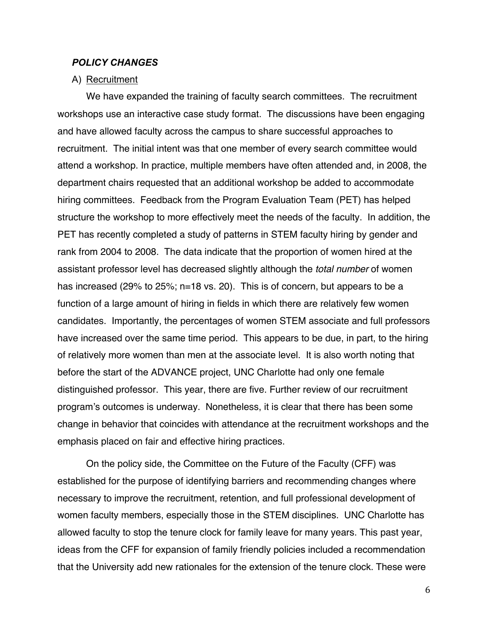#### *POLICY CHANGES*

#### A) Recruitment

We have expanded the training of faculty search committees. The recruitment workshops use an interactive case study format. The discussions have been engaging and have allowed faculty across the campus to share successful approaches to recruitment. The initial intent was that one member of every search committee would attend a workshop. In practice, multiple members have often attended and, in 2008, the department chairs requested that an additional workshop be added to accommodate hiring committees. Feedback from the Program Evaluation Team (PET) has helped structure the workshop to more effectively meet the needs of the faculty. In addition, the PET has recently completed a study of patterns in STEM faculty hiring by gender and rank from 2004 to 2008. The data indicate that the proportion of women hired at the assistant professor level has decreased slightly although the *total number* of women has increased (29% to 25%; n=18 vs. 20). This is of concern, but appears to be a function of a large amount of hiring in fields in which there are relatively few women candidates. Importantly, the percentages of women STEM associate and full professors have increased over the same time period. This appears to be due, in part, to the hiring of relatively more women than men at the associate level. It is also worth noting that before the start of the ADVANCE project, UNC Charlotte had only one female distinguished professor. This year, there are five. Further review of our recruitment program's outcomes is underway. Nonetheless, it is clear that there has been some change in behavior that coincides with attendance at the recruitment workshops and the emphasis placed on fair and effective hiring practices.

On the policy side, the Committee on the Future of the Faculty (CFF) was established for the purpose of identifying barriers and recommending changes where necessary to improve the recruitment, retention, and full professional development of women faculty members, especially those in the STEM disciplines. UNC Charlotte has allowed faculty to stop the tenure clock for family leave for many years. This past year, ideas from the CFF for expansion of family friendly policies included a recommendation that the University add new rationales for the extension of the tenure clock. These were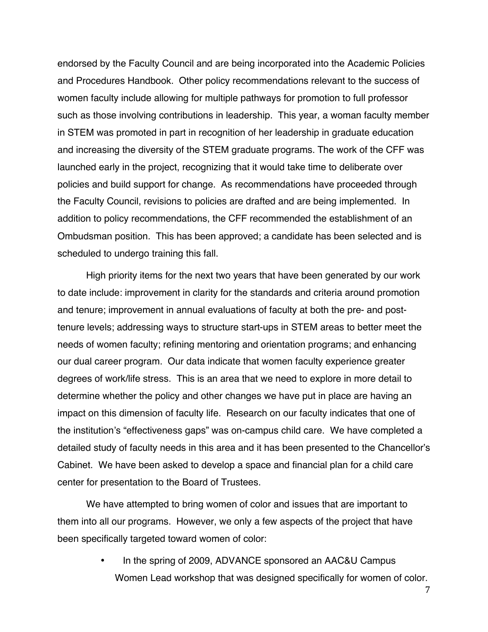endorsed by the Faculty Council and are being incorporated into the Academic Policies and Procedures Handbook. Other policy recommendations relevant to the success of women faculty include allowing for multiple pathways for promotion to full professor such as those involving contributions in leadership. This year, a woman faculty member in STEM was promoted in part in recognition of her leadership in graduate education and increasing the diversity of the STEM graduate programs. The work of the CFF was launched early in the project, recognizing that it would take time to deliberate over policies and build support for change. As recommendations have proceeded through the Faculty Council, revisions to policies are drafted and are being implemented. In addition to policy recommendations, the CFF recommended the establishment of an Ombudsman position. This has been approved; a candidate has been selected and is scheduled to undergo training this fall.

High priority items for the next two years that have been generated by our work to date include: improvement in clarity for the standards and criteria around promotion and tenure; improvement in annual evaluations of faculty at both the pre- and posttenure levels; addressing ways to structure start-ups in STEM areas to better meet the needs of women faculty; refining mentoring and orientation programs; and enhancing our dual career program. Our data indicate that women faculty experience greater degrees of work/life stress. This is an area that we need to explore in more detail to determine whether the policy and other changes we have put in place are having an impact on this dimension of faculty life. Research on our faculty indicates that one of the institution's "effectiveness gaps" was on-campus child care. We have completed a detailed study of faculty needs in this area and it has been presented to the Chancellor's Cabinet. We have been asked to develop a space and financial plan for a child care center for presentation to the Board of Trustees.

We have attempted to bring women of color and issues that are important to them into all our programs. However, we only a few aspects of the project that have been specifically targeted toward women of color:

> • In the spring of 2009, ADVANCE sponsored an AAC&U Campus Women Lead workshop that was designed specifically for women of color.

> > 7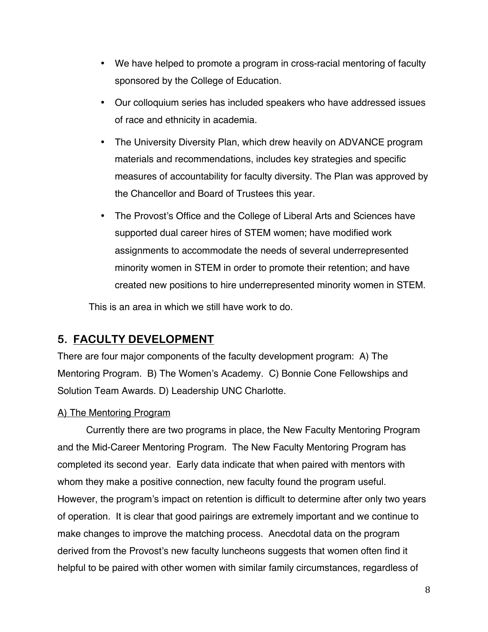- We have helped to promote a program in cross-racial mentoring of faculty sponsored by the College of Education.
- Our colloquium series has included speakers who have addressed issues of race and ethnicity in academia.
- The University Diversity Plan, which drew heavily on ADVANCE program materials and recommendations, includes key strategies and specific measures of accountability for faculty diversity. The Plan was approved by the Chancellor and Board of Trustees this year.
- The Provost's Office and the College of Liberal Arts and Sciences have supported dual career hires of STEM women; have modified work assignments to accommodate the needs of several underrepresented minority women in STEM in order to promote their retention; and have created new positions to hire underrepresented minority women in STEM.

This is an area in which we still have work to do.

## **5. FACULTY DEVELOPMENT**

There are four major components of the faculty development program: A) The Mentoring Program. B) The Women's Academy. C) Bonnie Cone Fellowships and Solution Team Awards. D) Leadership UNC Charlotte.

## A) The Mentoring Program

Currently there are two programs in place, the New Faculty Mentoring Program and the Mid-Career Mentoring Program. The New Faculty Mentoring Program has completed its second year. Early data indicate that when paired with mentors with whom they make a positive connection, new faculty found the program useful. However, the program's impact on retention is difficult to determine after only two years of operation. It is clear that good pairings are extremely important and we continue to make changes to improve the matching process. Anecdotal data on the program derived from the Provost's new faculty luncheons suggests that women often find it helpful to be paired with other women with similar family circumstances, regardless of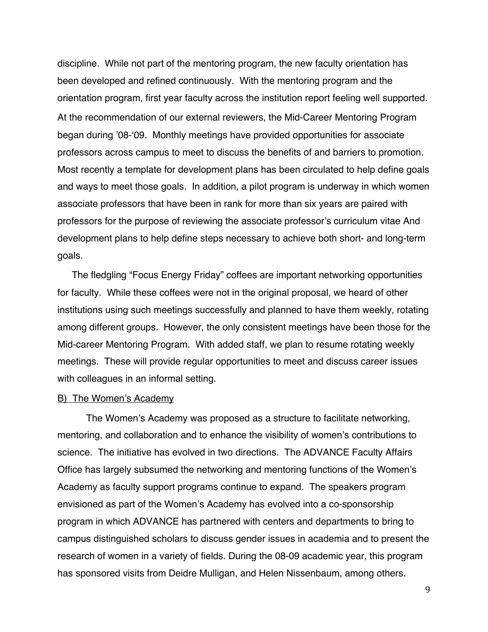discipline. While not part of the mentoring program, the new faculty orientation has been developed and refined continuously. With the mentoring program and the orientation program, first year faculty across the institution report feeling well supported. At the recommendation of our external reviewers, the Mid-Career Mentoring Program began during '08-ʻ09. Monthly meetings have provided opportunities for associate professors across campus to meet to discuss the benefits of and barriers to promotion. Most recently a template for development plans has been circulated to help define goals and ways to meet those goals. In addition, a pilot program is underway in which women associate professors that have been in rank for more than six years are paired with professors for the purpose of reviewing the associate professor's curriculum vitae And development plans to help define steps necessary to achieve both short- and long-term goals.

The fledgling "Focus Energy Friday" coffees are important networking opportunities for faculty. While these coffees were not in the original proposal, we heard of other institutions using such meetings successfully and planned to have them weekly, rotating among different groups. However, the only consistent meetings have been those for the Mid-career Mentoring Program. With added staff, we plan to resume rotating weekly meetings. These will provide regular opportunities to meet and discuss career issues with colleagues in an informal setting.

#### B) The Women's Academy

The Women's Academy was proposed as a structure to facilitate networking, mentoring, and collaboration and to enhance the visibility of women's contributions to science. The initiative has evolved in two directions. The ADVANCE Faculty Affairs Office has largely subsumed the networking and mentoring functions of the Women's Academy as faculty support programs continue to expand. The speakers program envisioned as part of the Women's Academy has evolved into a co-sponsorship program in which ADVANCE has partnered with centers and departments to bring to campus distinguished scholars to discuss gender issues in academia and to present the research of women in a variety of fields. During the 08-09 academic year, this program has sponsored visits from Deidre Mulligan, and Helen Nissenbaum, among others.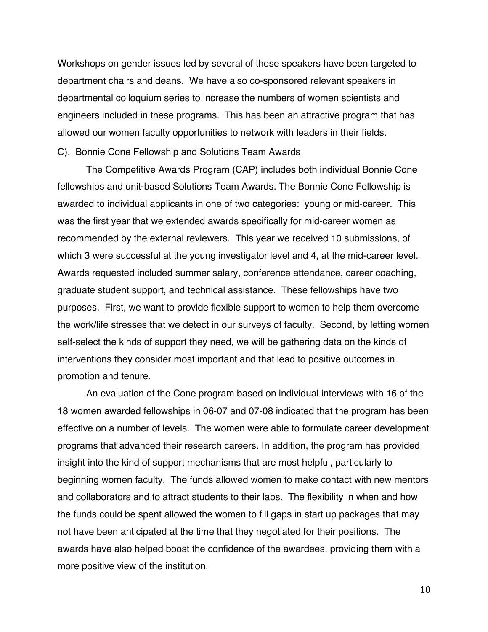Workshops on gender issues led by several of these speakers have been targeted to department chairs and deans. We have also co-sponsored relevant speakers in departmental colloquium series to increase the numbers of women scientists and engineers included in these programs. This has been an attractive program that has allowed our women faculty opportunities to network with leaders in their fields.

#### C). Bonnie Cone Fellowship and Solutions Team Awards

The Competitive Awards Program (CAP) includes both individual Bonnie Cone fellowships and unit-based Solutions Team Awards. The Bonnie Cone Fellowship is awarded to individual applicants in one of two categories: young or mid-career. This was the first year that we extended awards specifically for mid-career women as recommended by the external reviewers. This year we received 10 submissions, of which 3 were successful at the young investigator level and 4, at the mid-career level. Awards requested included summer salary, conference attendance, career coaching, graduate student support, and technical assistance. These fellowships have two purposes. First, we want to provide flexible support to women to help them overcome the work/life stresses that we detect in our surveys of faculty. Second, by letting women self-select the kinds of support they need, we will be gathering data on the kinds of interventions they consider most important and that lead to positive outcomes in promotion and tenure.

An evaluation of the Cone program based on individual interviews with 16 of the 18 women awarded fellowships in 06-07 and 07-08 indicated that the program has been effective on a number of levels. The women were able to formulate career development programs that advanced their research careers. In addition, the program has provided insight into the kind of support mechanisms that are most helpful, particularly to beginning women faculty. The funds allowed women to make contact with new mentors and collaborators and to attract students to their labs. The flexibility in when and how the funds could be spent allowed the women to fill gaps in start up packages that may not have been anticipated at the time that they negotiated for their positions. The awards have also helped boost the confidence of the awardees, providing them with a more positive view of the institution.

10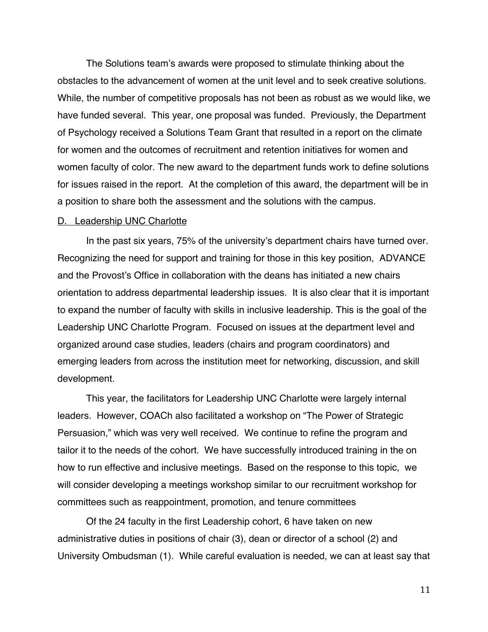The Solutions team's awards were proposed to stimulate thinking about the obstacles to the advancement of women at the unit level and to seek creative solutions. While, the number of competitive proposals has not been as robust as we would like, we have funded several. This year, one proposal was funded. Previously, the Department of Psychology received a Solutions Team Grant that resulted in a report on the climate for women and the outcomes of recruitment and retention initiatives for women and women faculty of color. The new award to the department funds work to define solutions for issues raised in the report. At the completion of this award, the department will be in a position to share both the assessment and the solutions with the campus.

#### D. Leadership UNC Charlotte

In the past six years, 75% of the university's department chairs have turned over. Recognizing the need for support and training for those in this key position, ADVANCE and the Provost's Office in collaboration with the deans has initiated a new chairs orientation to address departmental leadership issues. It is also clear that it is important to expand the number of faculty with skills in inclusive leadership. This is the goal of the Leadership UNC Charlotte Program. Focused on issues at the department level and organized around case studies, leaders (chairs and program coordinators) and emerging leaders from across the institution meet for networking, discussion, and skill development.

This year, the facilitators for Leadership UNC Charlotte were largely internal leaders. However, COACh also facilitated a workshop on "The Power of Strategic Persuasion," which was very well received. We continue to refine the program and tailor it to the needs of the cohort. We have successfully introduced training in the on how to run effective and inclusive meetings. Based on the response to this topic, we will consider developing a meetings workshop similar to our recruitment workshop for committees such as reappointment, promotion, and tenure committees

Of the 24 faculty in the first Leadership cohort, 6 have taken on new administrative duties in positions of chair (3), dean or director of a school (2) and University Ombudsman (1). While careful evaluation is needed, we can at least say that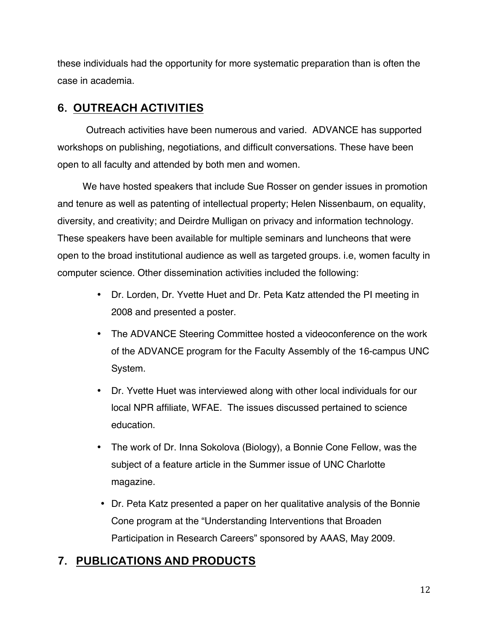these individuals had the opportunity for more systematic preparation than is often the case in academia.

# **6. OUTREACH ACTIVITIES**

Outreach activities have been numerous and varied. ADVANCE has supported workshops on publishing, negotiations, and difficult conversations. These have been open to all faculty and attended by both men and women.

We have hosted speakers that include Sue Rosser on gender issues in promotion and tenure as well as patenting of intellectual property; Helen Nissenbaum, on equality, diversity, and creativity; and Deirdre Mulligan on privacy and information technology. These speakers have been available for multiple seminars and luncheons that were open to the broad institutional audience as well as targeted groups. i.e, women faculty in computer science. Other dissemination activities included the following:

- Dr. Lorden, Dr. Yvette Huet and Dr. Peta Katz attended the PI meeting in 2008 and presented a poster.
- The ADVANCE Steering Committee hosted a videoconference on the work of the ADVANCE program for the Faculty Assembly of the 16-campus UNC System.
- Dr. Yvette Huet was interviewed along with other local individuals for our local NPR affiliate, WFAE. The issues discussed pertained to science education.
- The work of Dr. Inna Sokolova (Biology), a Bonnie Cone Fellow, was the subject of a feature article in the Summer issue of UNC Charlotte magazine.
- Dr. Peta Katz presented a paper on her qualitative analysis of the Bonnie Cone program at the "Understanding Interventions that Broaden Participation in Research Careers" sponsored by AAAS, May 2009.

# **7. PUBLICATIONS AND PRODUCTS**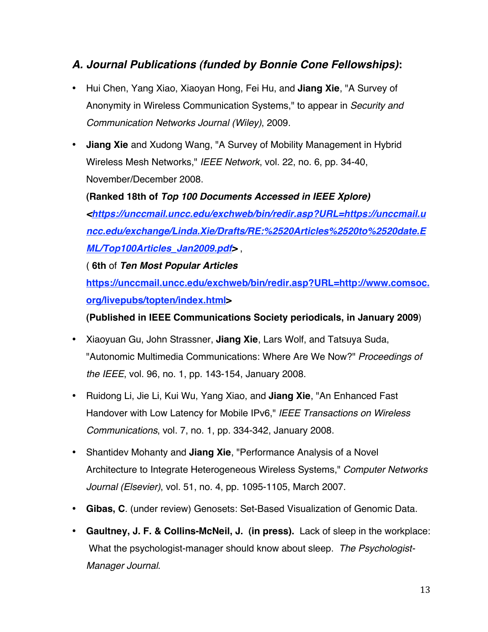# *A. Journal Publications (funded by Bonnie Cone Fellowships)***:**

- Hui Chen, Yang Xiao, Xiaoyan Hong, Fei Hu, and **Jiang Xie**, "A Survey of Anonymity in Wireless Communication Systems," to appear in *Security and Communication Networks Journal (Wiley)*, 2009.
- **Jiang Xie** and Xudong Wang, "A Survey of Mobility Management in Hybrid Wireless Mesh Networks," *IEEE Network*, vol. 22, no. 6, pp. 34-40, November/December 2008.

**(Ranked 18th of** *Top 100 Documents Accessed in IEEE Xplore) <https://unccmail.uncc.edu/exchweb/bin/redir.asp?URL=https://unccmail.u ncc.edu/exchange/Linda.Xie/Drafts/RE:%2520Articles%2520to%2520date.E ML/Top100Articles\_Jan2009.pdf>* ,

( **6th** of *Ten Most Popular Articles*

**https://unccmail.uncc.edu/exchweb/bin/redir.asp?URL=http://www.comsoc. org/livepubs/topten/index.html>**

**(Published in IEEE Communications Society periodicals, in January 2009**)

- Xiaoyuan Gu, John Strassner, **Jiang Xie**, Lars Wolf, and Tatsuya Suda, "Autonomic Multimedia Communications: Where Are We Now?" *Proceedings of the IEEE*, vol. 96, no. 1, pp. 143-154, January 2008.
- Ruidong Li, Jie Li, Kui Wu, Yang Xiao, and **Jiang Xie**, "An Enhanced Fast Handover with Low Latency for Mobile IPv6," *IEEE Transactions on Wireless Communications*, vol. 7, no. 1, pp. 334-342, January 2008.
- Shantidev Mohanty and **Jiang Xie**, "Performance Analysis of a Novel Architecture to Integrate Heterogeneous Wireless Systems," *Computer Networks Journal (Elsevier)*, vol. 51, no. 4, pp. 1095-1105, March 2007.
- **Gibas, C**. (under review) Genosets: Set-Based Visualization of Genomic Data.
- **Gaultney, J. F. & Collins-McNeil, J. (in press).** Lack of sleep in the workplace: What the psychologist-manager should know about sleep. *The Psychologist-Manager Journal*.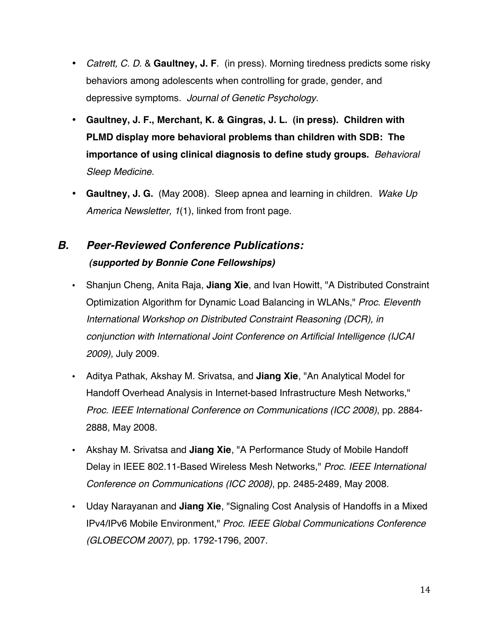- *Catrett, C. D*. & **Gaultney, J. F**. (in press). Morning tiredness predicts some risky behaviors among adolescents when controlling for grade, gender, and depressive symptoms. *Journal of Genetic Psychology.*
- **Gaultney, J. F., Merchant, K. & Gingras, J. L. (in press). Children with PLMD display more behavioral problems than children with SDB: The importance of using clinical diagnosis to define study groups.** *Behavioral Sleep Medicine.*
- **Gaultney, J. G.** (May 2008). Sleep apnea and learning in children. *Wake Up America Newsletter, 1*(1), linked from front page.

# *B. Peer-Reviewed Conference Publications: (supported by Bonnie Cone Fellowships)*

- Shanjun Cheng, Anita Raja, **Jiang Xie**, and Ivan Howitt, "A Distributed Constraint Optimization Algorithm for Dynamic Load Balancing in WLANs," *Proc. Eleventh International Workshop on Distributed Constraint Reasoning (DCR), in conjunction with International Joint Conference on Artificial Intelligence (IJCAI 2009),* July 2009.
- Aditya Pathak, Akshay M. Srivatsa, and **Jiang Xie**, "An Analytical Model for Handoff Overhead Analysis in Internet-based Infrastructure Mesh Networks," *Proc. IEEE International Conference on Communications (ICC 2008)*, pp. 2884- 2888, May 2008.
- Akshay M. Srivatsa and **Jiang Xie**, "A Performance Study of Mobile Handoff Delay in IEEE 802.11-Based Wireless Mesh Networks," *Proc. IEEE International Conference on Communications (ICC 2008)*, pp. 2485-2489, May 2008.
- Uday Narayanan and **Jiang Xie**, "Signaling Cost Analysis of Handoffs in a Mixed IPv4/IPv6 Mobile Environment," *Proc. IEEE Global Communications Conference (GLOBECOM 2007)*, pp. 1792-1796, 2007.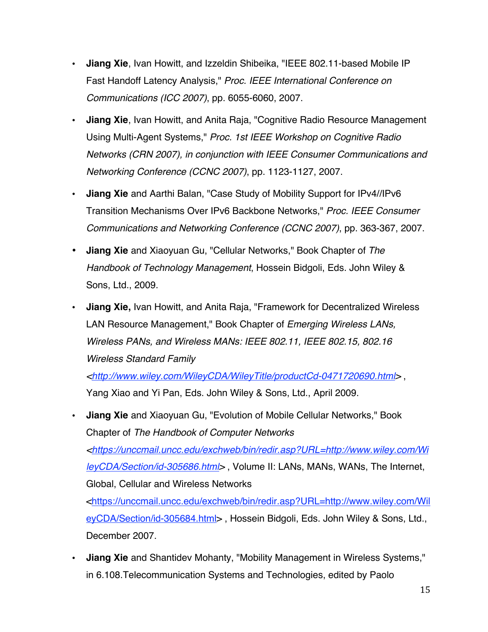- **Jiang Xie**, Ivan Howitt, and Izzeldin Shibeika, "IEEE 802.11-based Mobile IP Fast Handoff Latency Analysis," *Proc. IEEE International Conference on Communications (ICC 2007)*, pp. 6055-6060, 2007.
- **Jiang Xie**, Ivan Howitt, and Anita Raja, "Cognitive Radio Resource Management Using Multi-Agent Systems," *Proc. 1st IEEE Workshop on Cognitive Radio Networks (CRN 2007), in conjunction with IEEE Consumer Communications and Networking Conference (CCNC 2007)*, pp. 1123-1127, 2007.
- **Jiang Xie** and Aarthi Balan, "Case Study of Mobility Support for IPv4//IPv6 Transition Mechanisms Over IPv6 Backbone Networks," *Proc. IEEE Consumer Communications and Networking Conference (CCNC 2007)*, pp. 363-367, 2007.
- **Jiang Xie** and Xiaoyuan Gu, "Cellular Networks," Book Chapter of *The Handbook of Technology Management*, Hossein Bidgoli, Eds. John Wiley & Sons, Ltd., 2009.
- **Jiang Xie,** Ivan Howitt, and Anita Raja, "Framework for Decentralized Wireless LAN Resource Management," Book Chapter of *Emerging Wireless LANs, Wireless PANs, and Wireless MANs: IEEE 802.11, IEEE 802.15, 802.16 Wireless Standard Family*

*<http://www.wiley.com/WileyCDA/WileyTitle/productCd-0471720690.html>* , Yang Xiao and Yi Pan, Eds. John Wiley & Sons, Ltd., April 2009.

• **Jiang Xie** and Xiaoyuan Gu, "Evolution of Mobile Cellular Networks," Book Chapter of *The Handbook of Computer Networks <https://unccmail.uncc.edu/exchweb/bin/redir.asp?URL=http://www.wiley.com/Wi leyCDA/Section/id-305686.html>* , Volume II: LANs, MANs, WANs, The Internet, Global, Cellular and Wireless Networks <https://unccmail.uncc.edu/exchweb/bin/redir.asp?URL=http://www.wiley.com/Wil

eyCDA/Section/id-305684.html> , Hossein Bidgoli, Eds. John Wiley & Sons, Ltd., December 2007.

• **Jiang Xie** and Shantidev Mohanty, "Mobility Management in Wireless Systems," in 6.108.Telecommunication Systems and Technologies, edited by Paolo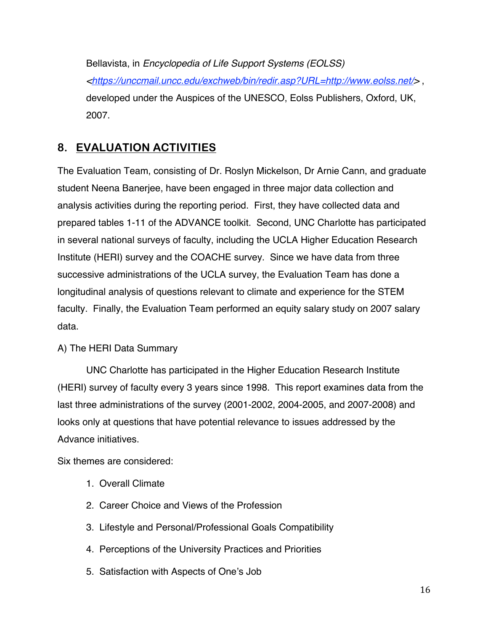Bellavista, in *Encyclopedia of Life Support Systems (EOLSS) <https://unccmail.uncc.edu/exchweb/bin/redir.asp?URL=http://www.eolss.net/>* , developed under the Auspices of the UNESCO, Eolss Publishers, Oxford, UK, 2007.

# **8. EVALUATION ACTIVITIES**

The Evaluation Team, consisting of Dr. Roslyn Mickelson, Dr Arnie Cann, and graduate student Neena Banerjee, have been engaged in three major data collection and analysis activities during the reporting period. First, they have collected data and prepared tables 1-11 of the ADVANCE toolkit. Second, UNC Charlotte has participated in several national surveys of faculty, including the UCLA Higher Education Research Institute (HERI) survey and the COACHE survey. Since we have data from three successive administrations of the UCLA survey, the Evaluation Team has done a longitudinal analysis of questions relevant to climate and experience for the STEM faculty. Finally, the Evaluation Team performed an equity salary study on 2007 salary data.

## A) The HERI Data Summary

UNC Charlotte has participated in the Higher Education Research Institute (HERI) survey of faculty every 3 years since 1998. This report examines data from the last three administrations of the survey (2001-2002, 2004-2005, and 2007-2008) and looks only at questions that have potential relevance to issues addressed by the Advance initiatives.

Six themes are considered:

- 1. Overall Climate
- 2. Career Choice and Views of the Profession
- 3. Lifestyle and Personal/Professional Goals Compatibility
- 4. Perceptions of the University Practices and Priorities
- 5. Satisfaction with Aspects of One's Job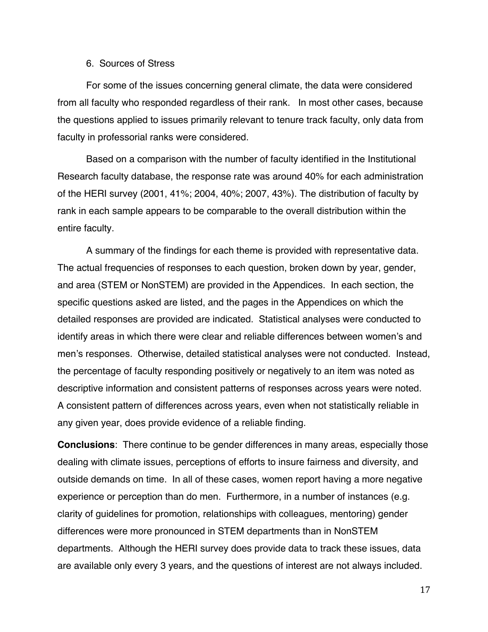#### 6. Sources of Stress

For some of the issues concerning general climate, the data were considered from all faculty who responded regardless of their rank. In most other cases, because the questions applied to issues primarily relevant to tenure track faculty, only data from faculty in professorial ranks were considered.

Based on a comparison with the number of faculty identified in the Institutional Research faculty database, the response rate was around 40% for each administration of the HERI survey (2001, 41%; 2004, 40%; 2007, 43%). The distribution of faculty by rank in each sample appears to be comparable to the overall distribution within the entire faculty.

A summary of the findings for each theme is provided with representative data. The actual frequencies of responses to each question, broken down by year, gender, and area (STEM or NonSTEM) are provided in the Appendices. In each section, the specific questions asked are listed, and the pages in the Appendices on which the detailed responses are provided are indicated. Statistical analyses were conducted to identify areas in which there were clear and reliable differences between women's and men's responses. Otherwise, detailed statistical analyses were not conducted. Instead, the percentage of faculty responding positively or negatively to an item was noted as descriptive information and consistent patterns of responses across years were noted. A consistent pattern of differences across years, even when not statistically reliable in any given year, does provide evidence of a reliable finding.

**Conclusions**: There continue to be gender differences in many areas, especially those dealing with climate issues, perceptions of efforts to insure fairness and diversity, and outside demands on time. In all of these cases, women report having a more negative experience or perception than do men. Furthermore, in a number of instances (e.g. clarity of guidelines for promotion, relationships with colleagues, mentoring) gender differences were more pronounced in STEM departments than in NonSTEM departments. Although the HERI survey does provide data to track these issues, data are available only every 3 years, and the questions of interest are not always included.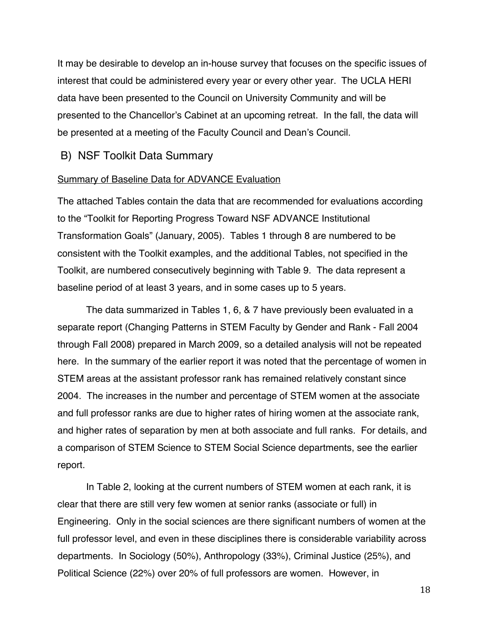It may be desirable to develop an in-house survey that focuses on the specific issues of interest that could be administered every year or every other year. The UCLA HERI data have been presented to the Council on University Community and will be presented to the Chancellor's Cabinet at an upcoming retreat. In the fall, the data will be presented at a meeting of the Faculty Council and Dean's Council.

## B) NSF Toolkit Data Summary

#### Summary of Baseline Data for ADVANCE Evaluation

The attached Tables contain the data that are recommended for evaluations according to the "Toolkit for Reporting Progress Toward NSF ADVANCE Institutional Transformation Goals" (January, 2005). Tables 1 through 8 are numbered to be consistent with the Toolkit examples, and the additional Tables, not specified in the Toolkit, are numbered consecutively beginning with Table 9. The data represent a baseline period of at least 3 years, and in some cases up to 5 years.

The data summarized in Tables 1, 6, & 7 have previously been evaluated in a separate report (Changing Patterns in STEM Faculty by Gender and Rank - Fall 2004 through Fall 2008) prepared in March 2009, so a detailed analysis will not be repeated here. In the summary of the earlier report it was noted that the percentage of women in STEM areas at the assistant professor rank has remained relatively constant since 2004. The increases in the number and percentage of STEM women at the associate and full professor ranks are due to higher rates of hiring women at the associate rank, and higher rates of separation by men at both associate and full ranks. For details, and a comparison of STEM Science to STEM Social Science departments, see the earlier report.

In Table 2, looking at the current numbers of STEM women at each rank, it is clear that there are still very few women at senior ranks (associate or full) in Engineering. Only in the social sciences are there significant numbers of women at the full professor level, and even in these disciplines there is considerable variability across departments. In Sociology (50%), Anthropology (33%), Criminal Justice (25%), and Political Science (22%) over 20% of full professors are women. However, in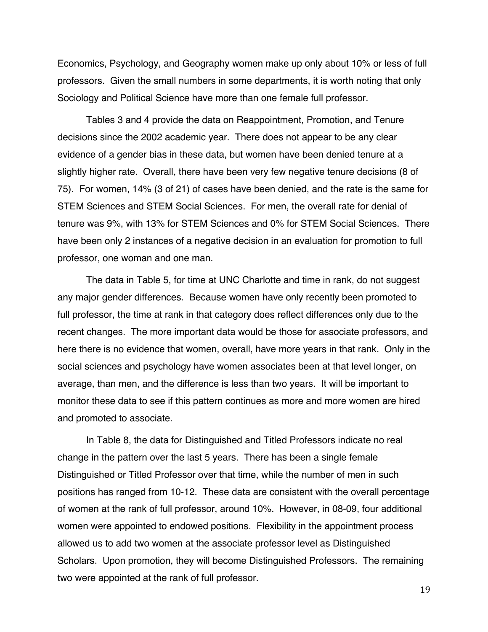Economics, Psychology, and Geography women make up only about 10% or less of full professors. Given the small numbers in some departments, it is worth noting that only Sociology and Political Science have more than one female full professor.

Tables 3 and 4 provide the data on Reappointment, Promotion, and Tenure decisions since the 2002 academic year. There does not appear to be any clear evidence of a gender bias in these data, but women have been denied tenure at a slightly higher rate. Overall, there have been very few negative tenure decisions (8 of 75). For women, 14% (3 of 21) of cases have been denied, and the rate is the same for STEM Sciences and STEM Social Sciences. For men, the overall rate for denial of tenure was 9%, with 13% for STEM Sciences and 0% for STEM Social Sciences. There have been only 2 instances of a negative decision in an evaluation for promotion to full professor, one woman and one man.

The data in Table 5, for time at UNC Charlotte and time in rank, do not suggest any major gender differences. Because women have only recently been promoted to full professor, the time at rank in that category does reflect differences only due to the recent changes. The more important data would be those for associate professors, and here there is no evidence that women, overall, have more years in that rank. Only in the social sciences and psychology have women associates been at that level longer, on average, than men, and the difference is less than two years. It will be important to monitor these data to see if this pattern continues as more and more women are hired and promoted to associate.

In Table 8, the data for Distinguished and Titled Professors indicate no real change in the pattern over the last 5 years. There has been a single female Distinguished or Titled Professor over that time, while the number of men in such positions has ranged from 10-12. These data are consistent with the overall percentage of women at the rank of full professor, around 10%. However, in 08-09, four additional women were appointed to endowed positions. Flexibility in the appointment process allowed us to add two women at the associate professor level as Distinguished Scholars. Upon promotion, they will become Distinguished Professors. The remaining two were appointed at the rank of full professor.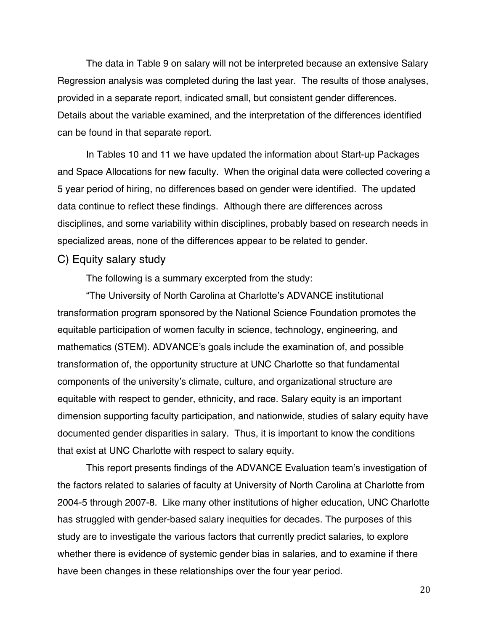The data in Table 9 on salary will not be interpreted because an extensive Salary Regression analysis was completed during the last year. The results of those analyses, provided in a separate report, indicated small, but consistent gender differences. Details about the variable examined, and the interpretation of the differences identified can be found in that separate report.

In Tables 10 and 11 we have updated the information about Start-up Packages and Space Allocations for new faculty. When the original data were collected covering a 5 year period of hiring, no differences based on gender were identified. The updated data continue to reflect these findings. Although there are differences across disciplines, and some variability within disciplines, probably based on research needs in specialized areas, none of the differences appear to be related to gender.

### C) Equity salary study

The following is a summary excerpted from the study:

"The University of North Carolina at Charlotte's ADVANCE institutional transformation program sponsored by the National Science Foundation promotes the equitable participation of women faculty in science, technology, engineering, and mathematics (STEM). ADVANCE's goals include the examination of, and possible transformation of, the opportunity structure at UNC Charlotte so that fundamental components of the university's climate, culture, and organizational structure are equitable with respect to gender, ethnicity, and race. Salary equity is an important dimension supporting faculty participation, and nationwide, studies of salary equity have documented gender disparities in salary. Thus, it is important to know the conditions that exist at UNC Charlotte with respect to salary equity.

This report presents findings of the ADVANCE Evaluation team's investigation of the factors related to salaries of faculty at University of North Carolina at Charlotte from 2004-5 through 2007-8. Like many other institutions of higher education, UNC Charlotte has struggled with gender-based salary inequities for decades. The purposes of this study are to investigate the various factors that currently predict salaries, to explore whether there is evidence of systemic gender bias in salaries, and to examine if there have been changes in these relationships over the four year period.